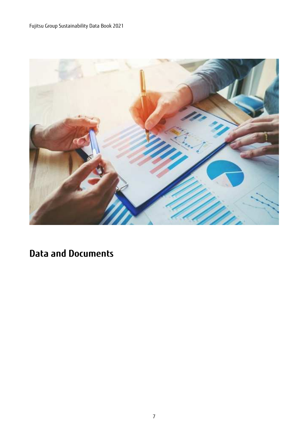

# **Data and Documents**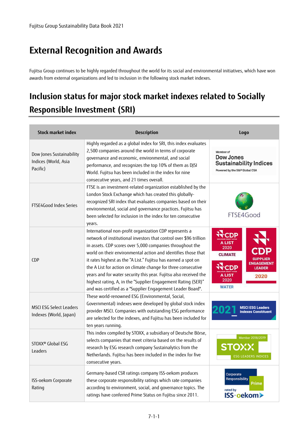# **External Recognition and Awards**

Fujitsu Group continues to be highly regarded throughout the world for its social and environmental initiatives, which have won awards from external organizations and led to inclusion in the following stock market indexes.

# **Inclusion status for major stock market indexes related to Socially Responsible Investment (SRI)**

| <b>Stock market index</b>                                    | <b>Description</b>                                                                                                                                                                                                                                                                                                                                                                                                                                                                                                                                                                               | Logo                                                                                                                                                  |
|--------------------------------------------------------------|--------------------------------------------------------------------------------------------------------------------------------------------------------------------------------------------------------------------------------------------------------------------------------------------------------------------------------------------------------------------------------------------------------------------------------------------------------------------------------------------------------------------------------------------------------------------------------------------------|-------------------------------------------------------------------------------------------------------------------------------------------------------|
| Dow Jones Sustainability<br>Indices (World, Asia<br>Pacific) | Highly regarded as a global index for SRI, this index evaluates<br>2,500 companies around the world in terms of corporate<br>governance and economic, environmental, and social<br>performance, and recognizes the top 10% of them as DJSI<br>World. Fujitsu has been included in the index for nine<br>consecutive years, and 21 times overall.                                                                                                                                                                                                                                                 | Member of<br>Dow Jones<br><b>Sustainability Indices</b><br>Powered by the S&P Global CSA                                                              |
| FTSE4Good Index Series                                       | FTSE is an investment-related organization established by the<br>London Stock Exchange which has created this globally-<br>recognized SRI index that evaluates companies based on their<br>environmental, social and governance practices. Fujitsu has<br>been selected for inclusion in the index for ten consecutive<br>years.                                                                                                                                                                                                                                                                 | FTSE4Good                                                                                                                                             |
| <b>CDP</b>                                                   | International non-profit organization CDP represents a<br>network of institutional investors that control over \$96 trillion<br>in assets. CDP scores over 5,000 companies throughout the<br>world on their environmental action and identifies those that<br>it rates highest as the "A List." Fujitsu has earned a spot on<br>the A List for action on climate change for three consecutive<br>years and for water security this year. Fujitsu also received the<br>highest rating, A, in the "Supplier Engagement Rating (SER)"<br>and was certified as a "Supplier Engagement Leader Board". | <b>RECDP</b><br>A LIST<br>2020<br><b>CLIMATE</b><br><b>ENGAGEMENT</b><br><b>CDP</b><br><b>LEADER</b><br><b>A LIST</b><br>2020<br>2020<br><b>WATER</b> |
| <b>MSCI ESG Select Leaders</b><br>Indexes (World, Japan)     | These world-renowned ESG (Environmental, Social,<br>Governmental) indexes were developed by global stock index<br>provider MSCI. Companies with outstanding ESG performance<br>are selected for the indexes, and Fujitsu has been included for<br>ten years running.                                                                                                                                                                                                                                                                                                                             | <b>MSCI ESG Leaders</b><br><b>Indexes Constituent</b>                                                                                                 |
| STOXX <sup>®</sup> Global ESG<br>Leaders                     | This index compiled by STOXX, a subsidiary of Deutsche Börse,<br>selects companies that meet criteria based on the results of<br>research by ESG research company Sustainalytics from the<br>Netherlands. Fujitsu has been included in the index for five<br>consecutive years.                                                                                                                                                                                                                                                                                                                  | Member 2018/2019<br><b>ESG LEADERS INDICES</b>                                                                                                        |
| ISS-oekom Corporate<br>Rating                                | Germany-based CSR ratings company ISS-oekom produces<br>these corporate responsibility ratings which rate companies<br>according to environment, social, and governance topics. The<br>ratings have conferred Prime Status on Fujitsu since 2011.                                                                                                                                                                                                                                                                                                                                                | Corporate<br><b>Responsibility</b><br><b>Prime</b><br>rated by<br><b>ISS-oekom</b>                                                                    |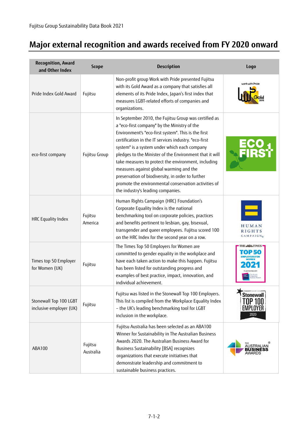## **Major external recognition and awards received from FY 2020 onward**

| <b>Recognition, Award</b><br>and Other Index      | <b>Scope</b>         | <b>Description</b>                                                                                                                                                                                                                                                                                                                                                                                                                                                                                                                                                                   | Logo                                                   |
|---------------------------------------------------|----------------------|--------------------------------------------------------------------------------------------------------------------------------------------------------------------------------------------------------------------------------------------------------------------------------------------------------------------------------------------------------------------------------------------------------------------------------------------------------------------------------------------------------------------------------------------------------------------------------------|--------------------------------------------------------|
| Pride Index Gold Award                            | Fujitsu              | Non-profit group Work with Pride presented Fujitsu<br>with its Gold Award as a company that satisfies all<br>elements of its Pride Index, Japan's first index that<br>measures LGBT-related efforts of companies and<br>organizations.                                                                                                                                                                                                                                                                                                                                               | work with Pride                                        |
| eco-first company                                 | Fujitsu Group        | In September 2010, the Fujitsu Group was certified as<br>a "eco-first company" by the Ministry of the<br>Environment's "eco-first system". This is the first<br>certification in the IT services industry. "eco-first<br>system" is a system under which each company<br>pledges to the Minister of the Environment that it will<br>take measures to protect the environment, including<br>measures against global warming and the<br>preservation of biodiversity, in order to further<br>promote the environmental conservation activities of<br>the industry's leading companies. |                                                        |
| <b>HRC Equality Index</b>                         | Fujitsu<br>America   | Human Rights Campaign (HRC) Foundation's<br>Corporate Equality Index is the national<br>benchmarking tool on corporate policies, practices<br>and benefits pertinent to lesbian, gay, bisexual,<br>transgender and queer employees. Fujitsu scored 100<br>on the HRC Index for the second year on a row.                                                                                                                                                                                                                                                                             | HUMAN<br><b>RIGHTS</b><br><b>CAMPAIGN®</b>             |
| Times top 50 Employer<br>for Women (UK)           | Fujitsu              | The Times Top 50 Employers for Women are<br>committed to gender equality in the workplace and<br>have each taken action to make this happen. Fujitsu<br>has been listed for outstanding progress and<br>examples of best practice, impact, innovation, and<br>individual achievement.                                                                                                                                                                                                                                                                                                | THE SAGE TIMES                                         |
| Stonewall Top 100 LGBT<br>inclusive employer (UK) | Fujitsu              | Fujitsu was listed in the Stonewall Top 100 Employers.<br>This list is compiled from the Workplace Equality Index<br>- the UK's leading benchmarking tool for LGBT<br>inclusion in the workplace.                                                                                                                                                                                                                                                                                                                                                                                    | <b>Stonewall</b><br>TOP 100<br><b>EMPLOYER</b><br>2020 |
| ABA100                                            | Fujitsu<br>Australia | Fujitsu Australia has been selected as an ABA100<br>Winner for Sustainability in The Australian Business<br>Awards 2020. The Australian Business Award for<br>Business Sustainability [BSA] recognizes<br>organizations that execute initiatives that<br>demonstrate leadership and commitment to<br>sustainable business practices.                                                                                                                                                                                                                                                 | <b>AUSTRALIAN</b><br>AWARDS                            |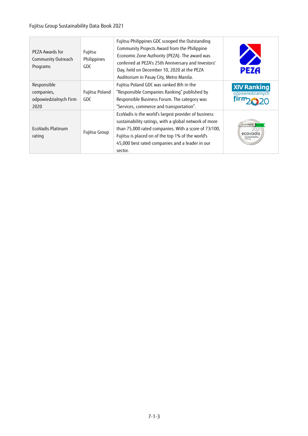#### Fujitsu Group Sustainability Data Book 2021

| PEZA Awards for<br>Community Outreach<br>Programs          | Fujitsu<br>Philippines<br>GDC | Fujitsu Philippines GDC scooped the Outstanding<br>Community Projects Award from the Philippine<br>Economic Zone Authority (PEZA). The award was<br>conferred at PEZA's 25th Anniversary and Investors'<br>Day, held on December 10, 2020 at the PEZA<br>Auditorium in Pasay City, Metro Manila. | <b>PEZA</b>                            |
|------------------------------------------------------------|-------------------------------|--------------------------------------------------------------------------------------------------------------------------------------------------------------------------------------------------------------------------------------------------------------------------------------------------|----------------------------------------|
| Responsible<br>companies,<br>odpowiedzialnych Firm<br>2020 | Fujitsu Poland<br>GDC         | Fujitsu Poland GDC was ranked 8th in the<br>"Responsible Companies Ranking" published by<br>Responsible Business Forum. The category was<br>"Services, commerce and transportation".                                                                                                             | <b>XIV Ranking</b><br>odpowiedzialnych |
| EcoVadis Platinum<br>rating                                | Fujitsu Group                 | EcoVadis is the world's largest provider of business<br>sustainability ratings, with a global network of more<br>than 75,000 rated companies. With a score of 73/100,<br>Fujitsu is placed on of the top 1% of the world's<br>45,000 best rated companies and a leader in our<br>sector.         | PLATINUM<br>ecovadis<br>Sustainability |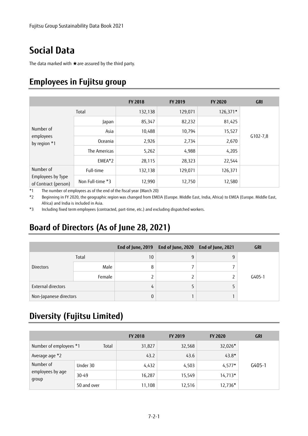# **Social Data**

The data marked with ★are assured by the third party.

## **Employees in Fujitsu group**

|                                                        |                  | <b>FY 2018</b> | <b>FY 2019</b> | <b>FY 2020</b> | <b>GRI</b>   |
|--------------------------------------------------------|------------------|----------------|----------------|----------------|--------------|
| Number of<br>employees<br>by region *1                 | Total            | 132,138        | 129,071        | $126,371*$     |              |
|                                                        | Japan            | 85,347         | 82,232         | 81,425         |              |
|                                                        | Asia             | 10,488         | 10,794         | 15,527         | $G102 - 7,8$ |
|                                                        | Oceania          | 2,926          | 2,734          | 2,670          |              |
|                                                        | The Americas     | 5,262          | 4,988          | 4,205          |              |
|                                                        | $EMEA*2$         | 28,115         | 28,323         | 22,544         |              |
| Number of<br>Employees by Type<br>of Contract (person) | Full-time        | 132,138        | 129,071        | 126,371        |              |
|                                                        | Non Full-time *3 | 12,990         | 12,750         | 12,580         |              |

\*1 The number of employees as of the end of the fiscal year (March 20)

\*2 Beginning in FY 2020, the geographic region was changed from EMEIA (Europe. Middle East, India, Africa) to EMEA (Europe. Middle East, Africa) and India is included in Asia.

\*3 Including fixed term employees (contracted, part-time, etc.) and excluding dispatched workers.

# **Board of Directors (As of June 28, 2021)**

|                        |        |    | End of June, 2019 End of June, 2020 End of June, 2021 | <b>GRI</b> |
|------------------------|--------|----|-------------------------------------------------------|------------|
|                        | Total  | 10 |                                                       |            |
| <b>Directors</b>       | Male   |    |                                                       |            |
|                        | Female |    |                                                       | $G405-1$   |
| External directors     |        | 4  |                                                       |            |
| Non-Japanese directors |        |    |                                                       |            |

### **Diversity (Fujitsu Limited)**

|                                        |             | <b>FY 2018</b> | <b>FY 2019</b> | <b>FY 2020</b> | GRI      |
|----------------------------------------|-------------|----------------|----------------|----------------|----------|
| Number of employees *1                 | Total       | 31,827         | 32,568         | 32,026*        |          |
| Average age *2                         |             | 43.2           | 43.6           | $43.8*$        |          |
| Number of<br>employees by age<br>group | Under 30    | 4,432          | 4,503          | $4,577*$       | $G405-1$ |
|                                        | 30-49       | 16,287         | 15,549         | $14,713*$      |          |
|                                        | 50 and over | 11,108         | 12,516         | 12,736*        |          |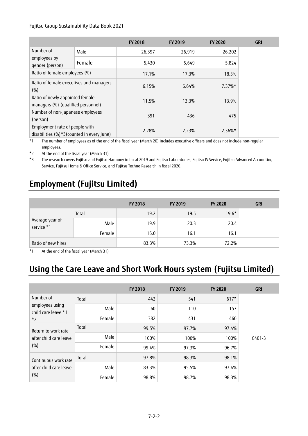#### Fujitsu Group Sustainability Data Book 2021

|                                                                             |        | <b>FY 2018</b> | FY 2019 | <b>FY 2020</b> | <b>GRI</b> |
|-----------------------------------------------------------------------------|--------|----------------|---------|----------------|------------|
| Number of                                                                   | Male   | 26,397         | 26,919  | 26,202         |            |
| employees by<br>gender (person)                                             | Female | 5,430          | 5,649   | 5,824          |            |
| Ratio of female employees (%)                                               |        | 17.1%          | 17.3%   | 18.3%          |            |
| Ratio of female executives and managers<br>(% )                             |        | 6.15%          | 6.64%   | $7.37\%$ *     |            |
| Ratio of newly appointed female<br>managers (%) (qualified personnel)       |        | 11.5%          | 13.3%   | 13.9%          |            |
| Number of non-Japanese employees<br>(person)                                |        | 391            | 436     | 475            |            |
| Employment rate of people with<br>disabilities (%)*3(counted in every June) |        | 2.28%          | 2.23%   | $2.36\%$ *     |            |

\*1 The number of employees as of the end of the fiscal year (March 20) includes executive officers and does not include non-regular employees.

\*2 At the end of the fiscal year (March 31)

\*3 The research covers Fujitsu and Fujitsu Harmony in fiscal 2019 and Fujitsu Laboratories, Fujitsu IS Service, Fujitsu Advanced Accounting Service, Fujitsu Home & Office Service, and Fujitsu Techno Research in fiscal 2020.

### **Employment (Fujitsu Limited)**

|                               |        | FY 2018 | FY 2019 | <b>FY 2020</b> | <b>GRI</b> |
|-------------------------------|--------|---------|---------|----------------|------------|
| Average year of<br>service *1 | Total  | 19.2    | 19.5    | $19.6*$        |            |
|                               | Male   | 19.9    | 20.3    | 20.4           |            |
|                               | Female | 16.0    | 16.1    | 16.1           |            |
| Ratio of new hires            |        | 83.3%   | 73.3%   | 72.2%          |            |

\*1 At the end of the fiscal year (March 31)

## **Using the Care Leave and Short Work Hours system (Fujitsu Limited)**

|                                                |        | <b>FY 2018</b> | FY 2019 | <b>FY 2020</b> | <b>GRI</b> |
|------------------------------------------------|--------|----------------|---------|----------------|------------|
| Number of                                      | Total  | 442            | 541     | $617*$         |            |
| employees using<br>child care leave *1         | Male   | 60             | 110     | 157            |            |
| $*_{2}$                                        | Female | 382            | 431     | 460            |            |
| Return to work rate                            | Total  | 99.5%          | 97.7%   | 97.4%          |            |
| after child care leave                         | Male   | 100%           | 100%    | 100%           | $G401-3$   |
| (%)                                            | Female | 99.4%          | 97.3%   | 96.7%          |            |
| Continuous work rate<br>after child care leave | Total  | 97.8%          | 98.3%   | 98.1%          |            |
|                                                | Male   | 83.3%          | 95.5%   | 97.4%          |            |
| (%)                                            | Female | 98.8%          | 98.7%   | 98.3%          |            |